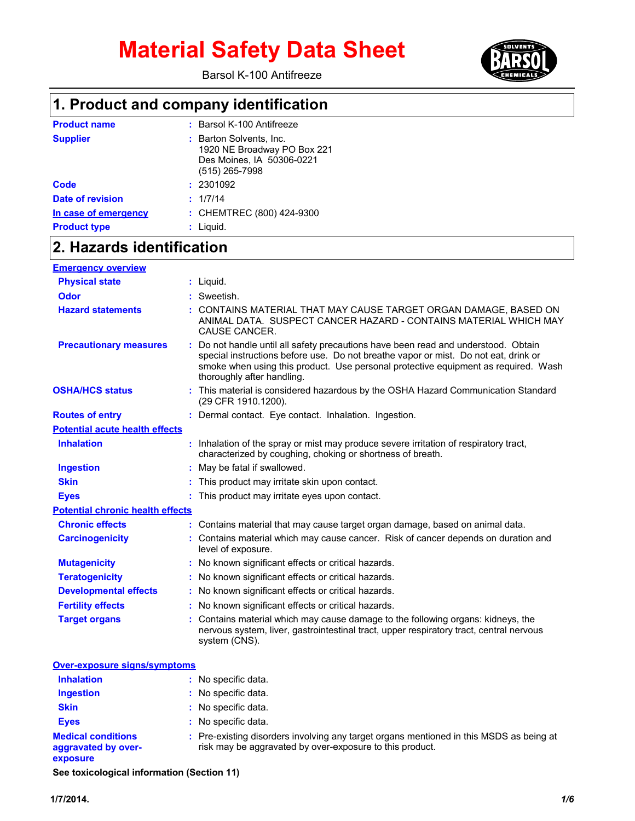Barsol K-100 Antifreeze



## **1. Product and company identification**

| <b>Product name</b>  | : Barsol K-100 Antifreeze                                                                             |
|----------------------|-------------------------------------------------------------------------------------------------------|
| <b>Supplier</b>      | : Barton Solvents, Inc.<br>1920 NE Broadway PO Box 221<br>Des Moines, IA 50306-0221<br>(515) 265-7998 |
| Code                 | : 2301092                                                                                             |
| Date of revision     | : 1/7/14                                                                                              |
| In case of emergency | : CHEMTREC (800) 424-9300                                                                             |
| <b>Product type</b>  | : Liquid.                                                                                             |

## **2. Hazards identification**

| <b>Emergency overview</b>               |                                                                                                                                                                                                                                                                                             |
|-----------------------------------------|---------------------------------------------------------------------------------------------------------------------------------------------------------------------------------------------------------------------------------------------------------------------------------------------|
| <b>Physical state</b>                   | $:$ Liquid.                                                                                                                                                                                                                                                                                 |
| <b>Odor</b>                             | Sweetish.                                                                                                                                                                                                                                                                                   |
| <b>Hazard statements</b>                | CONTAINS MATERIAL THAT MAY CAUSE TARGET ORGAN DAMAGE, BASED ON<br>ANIMAL DATA. SUSPECT CANCER HAZARD - CONTAINS MATERIAL WHICH MAY<br>CAUSE CANCER.                                                                                                                                         |
| <b>Precautionary measures</b>           | Do not handle until all safety precautions have been read and understood. Obtain<br>special instructions before use. Do not breathe vapor or mist. Do not eat, drink or<br>smoke when using this product. Use personal protective equipment as required. Wash<br>thoroughly after handling. |
| <b>OSHA/HCS status</b>                  | : This material is considered hazardous by the OSHA Hazard Communication Standard<br>(29 CFR 1910.1200).                                                                                                                                                                                    |
| <b>Routes of entry</b>                  | Dermal contact. Eye contact. Inhalation. Ingestion.                                                                                                                                                                                                                                         |
| <b>Potential acute health effects</b>   |                                                                                                                                                                                                                                                                                             |
| <b>Inhalation</b>                       | : Inhalation of the spray or mist may produce severe irritation of respiratory tract,<br>characterized by coughing, choking or shortness of breath.                                                                                                                                         |
| <b>Ingestion</b>                        | May be fatal if swallowed.                                                                                                                                                                                                                                                                  |
| <b>Skin</b>                             | This product may irritate skin upon contact.                                                                                                                                                                                                                                                |
| <b>Eves</b>                             | This product may irritate eyes upon contact.                                                                                                                                                                                                                                                |
| <b>Potential chronic health effects</b> |                                                                                                                                                                                                                                                                                             |
| <b>Chronic effects</b>                  | : Contains material that may cause target organ damage, based on animal data.                                                                                                                                                                                                               |
| <b>Carcinogenicity</b>                  | : Contains material which may cause cancer. Risk of cancer depends on duration and<br>level of exposure.                                                                                                                                                                                    |
| <b>Mutagenicity</b>                     | No known significant effects or critical hazards.                                                                                                                                                                                                                                           |
| <b>Teratogenicity</b>                   | No known significant effects or critical hazards.                                                                                                                                                                                                                                           |
| <b>Developmental effects</b>            | : No known significant effects or critical hazards.                                                                                                                                                                                                                                         |
| <b>Fertility effects</b>                | : No known significant effects or critical hazards.                                                                                                                                                                                                                                         |
| <b>Target organs</b>                    | Contains material which may cause damage to the following organs: kidneys, the<br>nervous system, liver, gastrointestinal tract, upper respiratory tract, central nervous<br>system (CNS).                                                                                                  |

| <b>Over-exposure signs/symptoms</b>                          |                                                                                                                                                     |  |
|--------------------------------------------------------------|-----------------------------------------------------------------------------------------------------------------------------------------------------|--|
| <b>Inhalation</b>                                            | No specific data.                                                                                                                                   |  |
| <b>Ingestion</b>                                             | No specific data.                                                                                                                                   |  |
| <b>Skin</b>                                                  | : No specific data.                                                                                                                                 |  |
| <b>Eyes</b>                                                  | No specific data.                                                                                                                                   |  |
| <b>Medical conditions</b><br>aggravated by over-<br>exposure | : Pre-existing disorders involving any target organs mentioned in this MSDS as being at<br>risk may be aggravated by over-exposure to this product. |  |
|                                                              |                                                                                                                                                     |  |

**See toxicological information (Section 11)**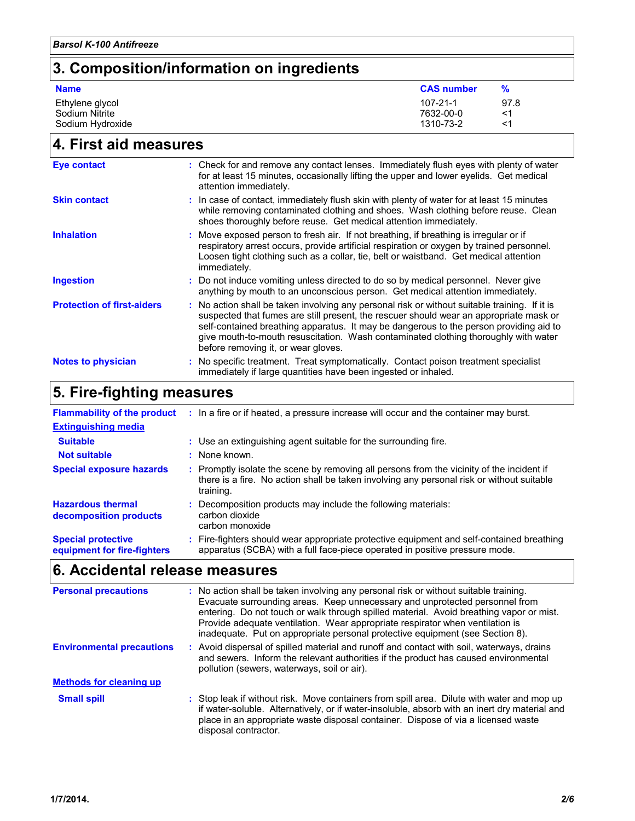# **3. Composition/information on ingredients**

| <b>Name</b>                       | <b>CAS number</b>           | %          |
|-----------------------------------|-----------------------------|------------|
| Ethylene glycol<br>Sodium Nitrite | $107 - 21 - 1$<br>7632-00-0 | 97.8<br><1 |
| Sodium Hydroxide                  | 1310-73-2                   | <1         |

# **4. First aid measures**

| <b>Eye contact</b>                | : Check for and remove any contact lenses. Immediately flush eyes with plenty of water<br>for at least 15 minutes, occasionally lifting the upper and lower eyelids. Get medical<br>attention immediately.                                                                                                                                                                                                      |
|-----------------------------------|-----------------------------------------------------------------------------------------------------------------------------------------------------------------------------------------------------------------------------------------------------------------------------------------------------------------------------------------------------------------------------------------------------------------|
| <b>Skin contact</b>               | : In case of contact, immediately flush skin with plenty of water for at least 15 minutes<br>while removing contaminated clothing and shoes. Wash clothing before reuse. Clean<br>shoes thoroughly before reuse. Get medical attention immediately.                                                                                                                                                             |
| <b>Inhalation</b>                 | : Move exposed person to fresh air. If not breathing, if breathing is irregular or if<br>respiratory arrest occurs, provide artificial respiration or oxygen by trained personnel.<br>Loosen tight clothing such as a collar, tie, belt or waistband. Get medical attention<br>immediately.                                                                                                                     |
| <b>Ingestion</b>                  | : Do not induce vomiting unless directed to do so by medical personnel. Never give<br>anything by mouth to an unconscious person. Get medical attention immediately.                                                                                                                                                                                                                                            |
| <b>Protection of first-aiders</b> | : No action shall be taken involving any personal risk or without suitable training. If it is<br>suspected that fumes are still present, the rescuer should wear an appropriate mask or<br>self-contained breathing apparatus. It may be dangerous to the person providing aid to<br>give mouth-to-mouth resuscitation. Wash contaminated clothing thoroughly with water<br>before removing it, or wear gloves. |
| <b>Notes to physician</b>         | : No specific treatment. Treat symptomatically. Contact poison treatment specialist<br>immediately if large quantities have been ingested or inhaled.                                                                                                                                                                                                                                                           |

## **5. Fire-fighting measures**

| <b>Flammability of the product</b>                       | : In a fire or if heated, a pressure increase will occur and the container may burst.                                                                                                               |  |
|----------------------------------------------------------|-----------------------------------------------------------------------------------------------------------------------------------------------------------------------------------------------------|--|
| <b>Extinguishing media</b>                               |                                                                                                                                                                                                     |  |
| <b>Suitable</b>                                          | : Use an extinguishing agent suitable for the surrounding fire.                                                                                                                                     |  |
| <b>Not suitable</b>                                      | : None known.                                                                                                                                                                                       |  |
| <b>Special exposure hazards</b>                          | : Promptly isolate the scene by removing all persons from the vicinity of the incident if<br>there is a fire. No action shall be taken involving any personal risk or without suitable<br>training. |  |
| <b>Hazardous thermal</b><br>decomposition products       | Decomposition products may include the following materials:<br>carbon dioxide<br>carbon monoxide                                                                                                    |  |
| <b>Special protective</b><br>equipment for fire-fighters | Fire-fighters should wear appropriate protective equipment and self-contained breathing<br>apparatus (SCBA) with a full face-piece operated in positive pressure mode.                              |  |

# **6. Accidental release measures**

| <b>Personal precautions</b>      | : No action shall be taken involving any personal risk or without suitable training.<br>Evacuate surrounding areas. Keep unnecessary and unprotected personnel from<br>entering. Do not touch or walk through spilled material. Avoid breathing vapor or mist.<br>Provide adequate ventilation. Wear appropriate respirator when ventilation is<br>inadequate. Put on appropriate personal protective equipment (see Section 8). |
|----------------------------------|----------------------------------------------------------------------------------------------------------------------------------------------------------------------------------------------------------------------------------------------------------------------------------------------------------------------------------------------------------------------------------------------------------------------------------|
| <b>Environmental precautions</b> | : Avoid dispersal of spilled material and runoff and contact with soil, waterways, drains<br>and sewers. Inform the relevant authorities if the product has caused environmental<br>pollution (sewers, waterways, soil or air).                                                                                                                                                                                                  |
| <b>Methods for cleaning up</b>   |                                                                                                                                                                                                                                                                                                                                                                                                                                  |
| <b>Small spill</b>               | : Stop leak if without risk. Move containers from spill area. Dilute with water and mop up<br>if water-soluble. Alternatively, or if water-insoluble, absorb with an inert dry material and<br>place in an appropriate waste disposal container. Dispose of via a licensed waste<br>disposal contractor.                                                                                                                         |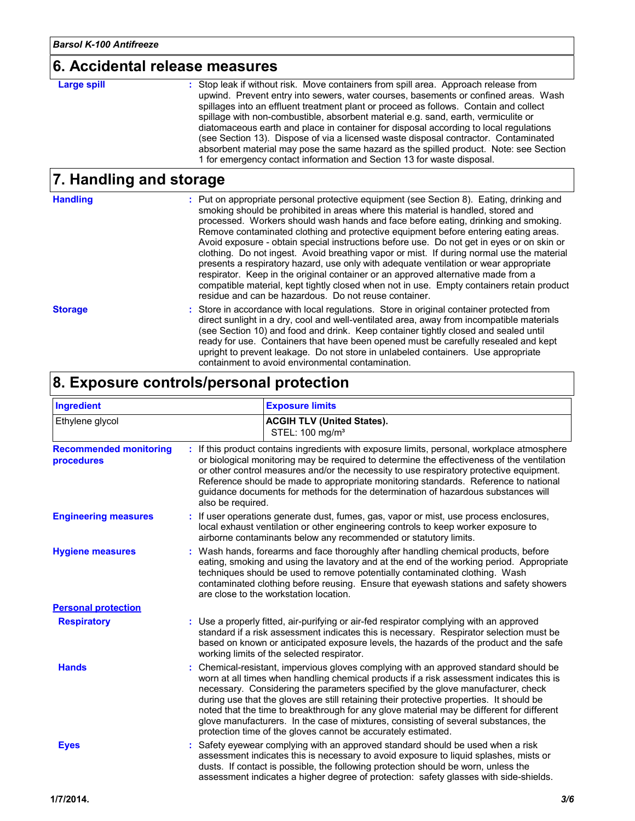#### **6. Accidental release measures**

#### **Large spill :**

: Stop leak if without risk. Move containers from spill area. Approach release from upwind. Prevent entry into sewers, water courses, basements or confined areas. Wash spillages into an effluent treatment plant or proceed as follows. Contain and collect spillage with non-combustible, absorbent material e.g. sand, earth, vermiculite or diatomaceous earth and place in container for disposal according to local regulations (see Section 13). Dispose of via a licensed waste disposal contractor. Contaminated absorbent material may pose the same hazard as the spilled product. Note: see Section 1 for emergency contact information and Section 13 for waste disposal.

### **7. Handling and storage**

| <b>Handling</b> | : Put on appropriate personal protective equipment (see Section 8). Eating, drinking and<br>smoking should be prohibited in areas where this material is handled, stored and<br>processed. Workers should wash hands and face before eating, drinking and smoking.<br>Remove contaminated clothing and protective equipment before entering eating areas.<br>Avoid exposure - obtain special instructions before use. Do not get in eyes or on skin or<br>clothing. Do not ingest. Avoid breathing vapor or mist. If during normal use the material<br>presents a respiratory hazard, use only with adequate ventilation or wear appropriate<br>respirator. Keep in the original container or an approved alternative made from a<br>compatible material, kept tightly closed when not in use. Empty containers retain product<br>residue and can be hazardous. Do not reuse container. |
|-----------------|-----------------------------------------------------------------------------------------------------------------------------------------------------------------------------------------------------------------------------------------------------------------------------------------------------------------------------------------------------------------------------------------------------------------------------------------------------------------------------------------------------------------------------------------------------------------------------------------------------------------------------------------------------------------------------------------------------------------------------------------------------------------------------------------------------------------------------------------------------------------------------------------|
| <b>Storage</b>  | : Store in accordance with local regulations. Store in original container protected from<br>direct sunlight in a dry, cool and well-ventilated area, away from incompatible materials<br>(see Section 10) and food and drink. Keep container tightly closed and sealed until<br>ready for use. Containers that have been opened must be carefully resealed and kept<br>upright to prevent leakage. Do not store in unlabeled containers. Use appropriate<br>containment to avoid environmental contamination.                                                                                                                                                                                                                                                                                                                                                                           |

### **8. Exposure controls/personal protection**

| Ingredient                                  |                   | <b>Exposure limits</b>                                                                                                                                                                                                                                                                                                                                                                                                                                                                                                                                                                                               |
|---------------------------------------------|-------------------|----------------------------------------------------------------------------------------------------------------------------------------------------------------------------------------------------------------------------------------------------------------------------------------------------------------------------------------------------------------------------------------------------------------------------------------------------------------------------------------------------------------------------------------------------------------------------------------------------------------------|
| Ethylene glycol                             |                   | <b>ACGIH TLV (United States).</b><br>STEL: 100 mg/m <sup>3</sup>                                                                                                                                                                                                                                                                                                                                                                                                                                                                                                                                                     |
| <b>Recommended monitoring</b><br>procedures | also be required. | : If this product contains ingredients with exposure limits, personal, workplace atmosphere<br>or biological monitoring may be required to determine the effectiveness of the ventilation<br>or other control measures and/or the necessity to use respiratory protective equipment.<br>Reference should be made to appropriate monitoring standards. Reference to national<br>guidance documents for methods for the determination of hazardous substances will                                                                                                                                                     |
| <b>Engineering measures</b>                 |                   | If user operations generate dust, fumes, gas, vapor or mist, use process enclosures,<br>local exhaust ventilation or other engineering controls to keep worker exposure to<br>airborne contaminants below any recommended or statutory limits.                                                                                                                                                                                                                                                                                                                                                                       |
| <b>Hygiene measures</b>                     |                   | : Wash hands, forearms and face thoroughly after handling chemical products, before<br>eating, smoking and using the lavatory and at the end of the working period. Appropriate<br>techniques should be used to remove potentially contaminated clothing. Wash<br>contaminated clothing before reusing. Ensure that eyewash stations and safety showers<br>are close to the workstation location.                                                                                                                                                                                                                    |
| <b>Personal protection</b>                  |                   |                                                                                                                                                                                                                                                                                                                                                                                                                                                                                                                                                                                                                      |
| <b>Respiratory</b>                          |                   | : Use a properly fitted, air-purifying or air-fed respirator complying with an approved<br>standard if a risk assessment indicates this is necessary. Respirator selection must be<br>based on known or anticipated exposure levels, the hazards of the product and the safe<br>working limits of the selected respirator.                                                                                                                                                                                                                                                                                           |
| <b>Hands</b>                                |                   | Chemical-resistant, impervious gloves complying with an approved standard should be<br>worn at all times when handling chemical products if a risk assessment indicates this is<br>necessary. Considering the parameters specified by the glove manufacturer, check<br>during use that the gloves are still retaining their protective properties. It should be<br>noted that the time to breakthrough for any glove material may be different for different<br>glove manufacturers. In the case of mixtures, consisting of several substances, the<br>protection time of the gloves cannot be accurately estimated. |
| <b>Eyes</b>                                 |                   | Safety eyewear complying with an approved standard should be used when a risk<br>assessment indicates this is necessary to avoid exposure to liquid splashes, mists or<br>dusts. If contact is possible, the following protection should be worn, unless the<br>assessment indicates a higher degree of protection: safety glasses with side-shields.                                                                                                                                                                                                                                                                |
| 1/7/2014.                                   |                   | 3/6                                                                                                                                                                                                                                                                                                                                                                                                                                                                                                                                                                                                                  |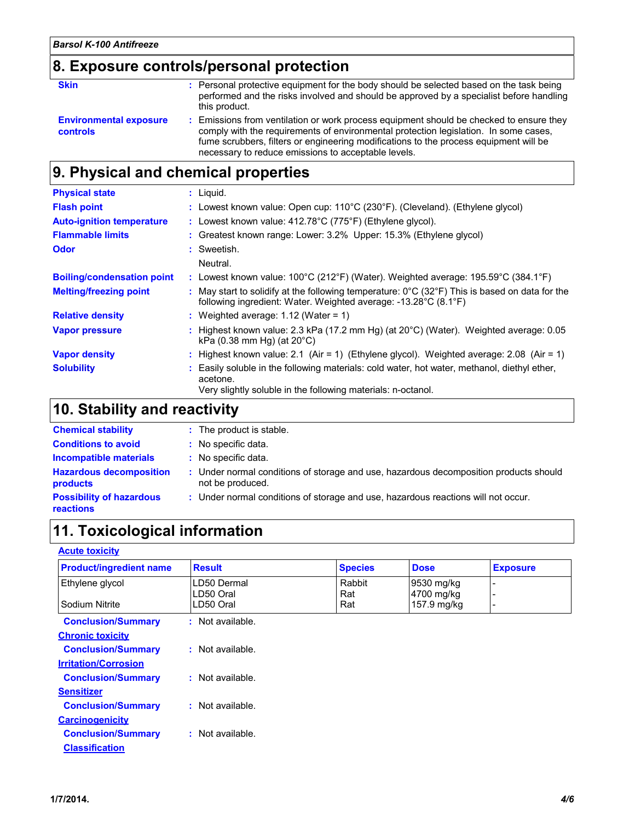# **8. Exposure controls/personal protection**

| <b>Skin</b>                                      | : Personal protective equipment for the body should be selected based on the task being<br>performed and the risks involved and should be approved by a specialist before handling<br>this product.                                                                                                                             |
|--------------------------------------------------|---------------------------------------------------------------------------------------------------------------------------------------------------------------------------------------------------------------------------------------------------------------------------------------------------------------------------------|
| <b>Environmental exposure</b><br><b>controls</b> | : Emissions from ventilation or work process equipment should be checked to ensure they<br>comply with the requirements of environmental protection legislation. In some cases,<br>fume scrubbers, filters or engineering modifications to the process equipment will be<br>necessary to reduce emissions to acceptable levels. |

## **9. Physical and chemical properties**

| <b>Physical state</b>             | $:$ Liquid.                                                                                                                                                                            |
|-----------------------------------|----------------------------------------------------------------------------------------------------------------------------------------------------------------------------------------|
| <b>Flash point</b>                | : Lowest known value: Open cup: $110^{\circ}$ C (230 $^{\circ}$ F). (Cleveland). (Ethylene glycol)                                                                                     |
| <b>Auto-ignition temperature</b>  | : Lowest known value: 412.78°C (775°F) (Ethylene glycol).                                                                                                                              |
| <b>Flammable limits</b>           | : Greatest known range: Lower: 3.2% Upper: 15.3% (Ethylene glycol)                                                                                                                     |
| <b>Odor</b>                       | : Sweetish.                                                                                                                                                                            |
|                                   | Neutral.                                                                                                                                                                               |
| <b>Boiling/condensation point</b> | : Lowest known value: $100^{\circ}$ C (212 $^{\circ}$ F) (Water). Weighted average: 195.59 $^{\circ}$ C (384.1 $^{\circ}$ F)                                                           |
| <b>Melting/freezing point</b>     | : May start to solidify at the following temperature: $0^{\circ}$ C (32 $^{\circ}$ F) This is based on data for the<br>following ingredient: Water. Weighted average: -13.28°C (8.1°F) |
| <b>Relative density</b>           | : Weighted average: 1.12 (Water = 1)                                                                                                                                                   |
| <b>Vapor pressure</b>             | : Highest known value: 2.3 kPa (17.2 mm Hg) (at $20^{\circ}$ C) (Water). Weighted average: 0.05<br>kPa $(0.38 \text{ mm Hq})$ (at $20^{\circ}$ C)                                      |
| <b>Vapor density</b>              | : Highest known value: 2.1 (Air = 1) (Ethylene glycol). Weighted average: 2.08 (Air = 1)                                                                                               |
| <b>Solubility</b>                 | Easily soluble in the following materials: cold water, hot water, methanol, diethyl ether,<br>acetone.<br>Very slightly soluble in the following materials: n-octanol.                 |

# **10. Stability and reactivity**

| <b>Chemical stability</b>                           | : The product is stable.                                                                                  |
|-----------------------------------------------------|-----------------------------------------------------------------------------------------------------------|
| <b>Conditions to avoid</b>                          | : No specific data.                                                                                       |
| <b>Incompatible materials</b>                       | : No specific data.                                                                                       |
| <b>Hazardous decomposition</b><br><b>products</b>   | : Under normal conditions of storage and use, hazardous decomposition products should<br>not be produced. |
| <b>Possibility of hazardous</b><br><b>reactions</b> | : Under normal conditions of storage and use, hazardous reactions will not occur.                         |

## **11. Toxicological information**

#### **Acute toxicity**

| <b>Product/ingredient name</b> | <b>Result</b>    | <b>Species</b> | <b>Dose</b> | <b>Exposure</b> |
|--------------------------------|------------------|----------------|-------------|-----------------|
| Ethylene glycol                | LD50 Dermal      | Rabbit         | 9530 mg/kg  |                 |
|                                | LD50 Oral        | Rat            | 4700 mg/kg  |                 |
| Sodium Nitrite                 | LD50 Oral        | Rat            | 157.9 mg/kg |                 |
| <b>Conclusion/Summary</b>      | : Not available. |                |             |                 |
| <b>Chronic toxicity</b>        |                  |                |             |                 |
| <b>Conclusion/Summary</b>      | : Not available. |                |             |                 |
| <b>Irritation/Corrosion</b>    |                  |                |             |                 |
| <b>Conclusion/Summary</b>      | : Not available. |                |             |                 |
| <b>Sensitizer</b>              |                  |                |             |                 |
| <b>Conclusion/Summary</b>      | : Not available. |                |             |                 |
| <b>Carcinogenicity</b>         |                  |                |             |                 |
| <b>Conclusion/Summary</b>      | : Not available. |                |             |                 |
| <b>Classification</b>          |                  |                |             |                 |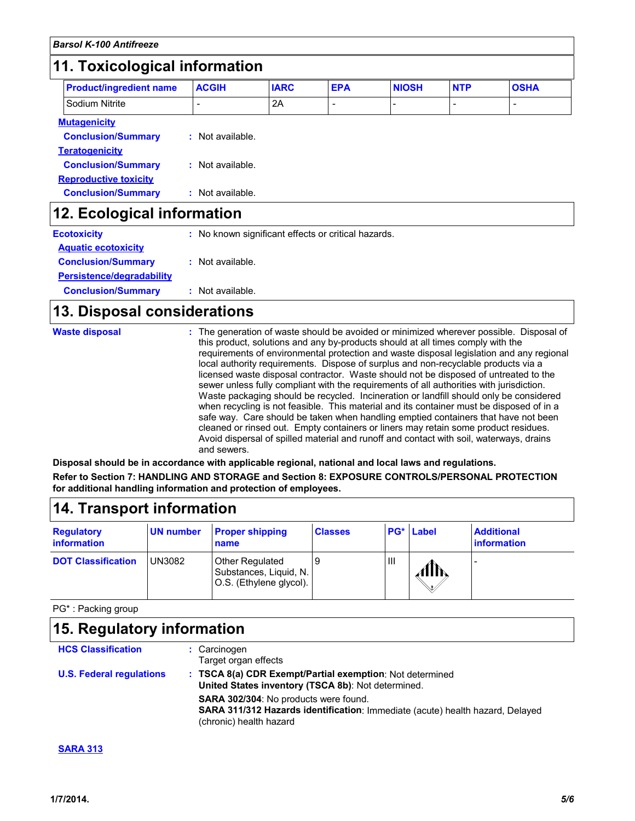#### **11. Toxicological information**

| <b>Product/ingredient name</b>                                            | <b>ACGIH</b>     | <b>IARC</b>                                         | <b>EPA</b> | <b>NIOSH</b> | <b>NTP</b> | <b>OSHA</b> |
|---------------------------------------------------------------------------|------------------|-----------------------------------------------------|------------|--------------|------------|-------------|
| Sodium Nitrite                                                            |                  | 2A                                                  |            |              | -          |             |
| <b>Mutagenicity</b><br><b>Conclusion/Summary</b><br><b>Teratogenicity</b> | : Not available. |                                                     |            |              |            |             |
| <b>Conclusion/Summary</b><br><b>Reproductive toxicity</b>                 | : Not available. |                                                     |            |              |            |             |
| <b>Conclusion/Summary</b>                                                 | : Not available. |                                                     |            |              |            |             |
| 12. Ecological information                                                |                  |                                                     |            |              |            |             |
| <b>Ecotoxicity</b>                                                        |                  | : No known significant effects or critical hazards. |            |              |            |             |
| <b>Aquatic ecotoxicity</b>                                                |                  |                                                     |            |              |            |             |
| <b>Conclusion/Summary</b>                                                 | : Not available. |                                                     |            |              |            |             |
| <b>Persistence/degradability</b>                                          |                  |                                                     |            |              |            |             |

#### **Conclusion/Summary :** Not available.

### **13. Disposal considerations**

| <b>Waste disposal</b> | : The generation of waste should be avoided or minimized wherever possible. Disposal of<br>this product, solutions and any by-products should at all times comply with the<br>requirements of environmental protection and waste disposal legislation and any regional<br>local authority requirements. Dispose of surplus and non-recyclable products via a<br>licensed waste disposal contractor. Waste should not be disposed of untreated to the<br>sewer unless fully compliant with the requirements of all authorities with jurisdiction.<br>Waste packaging should be recycled. Incineration or landfill should only be considered<br>when recycling is not feasible. This material and its container must be disposed of in a<br>safe way. Care should be taken when handling emptied containers that have not been<br>cleaned or rinsed out. Empty containers or liners may retain some product residues.<br>Avoid dispersal of spilled material and runoff and contact with soil, waterways, drains<br>and sewers. |
|-----------------------|-------------------------------------------------------------------------------------------------------------------------------------------------------------------------------------------------------------------------------------------------------------------------------------------------------------------------------------------------------------------------------------------------------------------------------------------------------------------------------------------------------------------------------------------------------------------------------------------------------------------------------------------------------------------------------------------------------------------------------------------------------------------------------------------------------------------------------------------------------------------------------------------------------------------------------------------------------------------------------------------------------------------------------|
|-----------------------|-------------------------------------------------------------------------------------------------------------------------------------------------------------------------------------------------------------------------------------------------------------------------------------------------------------------------------------------------------------------------------------------------------------------------------------------------------------------------------------------------------------------------------------------------------------------------------------------------------------------------------------------------------------------------------------------------------------------------------------------------------------------------------------------------------------------------------------------------------------------------------------------------------------------------------------------------------------------------------------------------------------------------------|

**Disposal should be in accordance with applicable regional, national and local laws and regulations. Refer to Section 7: HANDLING AND STORAGE and Section 8: EXPOSURE CONTROLS/PERSONAL PROTECTION for additional handling information and protection of employees.**

## **14. Transport information**

| <b>Regulatory</b><br><b>information</b> | UN number | <b>Proper shipping</b><br>name                                              | <b>Classes</b> |   | <b>PG*</b> Label | <b>Additional</b><br><b>linformation</b> |
|-----------------------------------------|-----------|-----------------------------------------------------------------------------|----------------|---|------------------|------------------------------------------|
| <b>DOT Classification</b>               | UN3082    | <b>Other Regulated</b><br>Substances, Liquid, N.<br>O.S. (Ethylene glycol). |                | Ш | AllN             |                                          |

PG\* : Packing group

| 15. Regulatory information                                                                                                                               |  |  |  |
|----------------------------------------------------------------------------------------------------------------------------------------------------------|--|--|--|
| : Carcinogen<br>Target organ effects                                                                                                                     |  |  |  |
| : TSCA 8(a) CDR Exempt/Partial exemption: Not determined<br>United States inventory (TSCA 8b): Not determined.                                           |  |  |  |
| <b>SARA 302/304:</b> No products were found.<br>SARA 311/312 Hazards identification: Immediate (acute) health hazard, Delayed<br>(chronic) health hazard |  |  |  |
|                                                                                                                                                          |  |  |  |

#### **SARA 313**